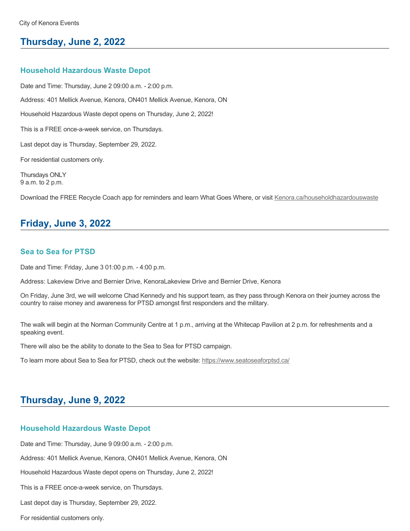# **Thursday, June 2, 2022**

### **Household Hazardous Waste Depot**

Date and Time: Thursday, June 2 09:00 a.m. - 2:00 p.m. Address: 401 Mellick Avenue, Kenora, ON401 Mellick Avenue, Kenora, ON Household Hazardous Waste depot opens on Thursday, June 2, 2022! This is a FREE once-a-week service, on Thursdays. Last depot day is Thursday, September 29, 2022. For residential customers only. Thursdays ONLY 9 a.m. to 2 p.m.

Download the FREE Recycle Coach app for reminders and learn What Goes Where, or visit [Kenora.ca/householdhazardouswaste](https://www.kenora.ca/en/living-here/household-hazardous-waste.aspx)

# **Friday, June 3, 2022**

### **Sea to Sea for PTSD**

Date and Time: Friday, June 3 01:00 p.m. - 4:00 p.m.

Address: Lakeview Drive and Bernier Drive, KenoraLakeview Drive and Bernier Drive, Kenora

On Friday, June 3rd, we will welcome Chad Kennedy and his support team, as they pass through Kenora on their journey across the country to raise money and awareness for PTSD amongst first responders and the military.

The walk will begin at the Norman Community Centre at 1 p.m., arriving at the Whitecap Pavilion at 2 p.m. for refreshments and a speaking event.

There will also be the ability to donate to the Sea to Sea for PTSD campaign.

To learn more about Sea to Sea for PTSD, check out the website: <https://www.seatoseaforptsd.ca/>

# **Thursday, June 9, 2022**

### **Household Hazardous Waste Depot**

Date and Time: Thursday, June 9 09:00 a.m. - 2:00 p.m.

Address: 401 Mellick Avenue, Kenora, ON401 Mellick Avenue, Kenora, ON

Household Hazardous Waste depot opens on Thursday, June 2, 2022!

This is a FREE once-a-week service, on Thursdays.

Last depot day is Thursday, September 29, 2022.

For residential customers only.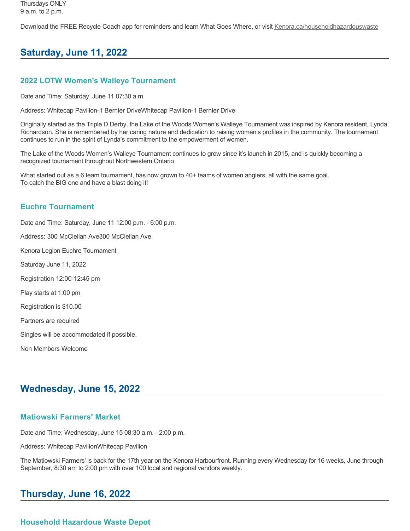Download the FREE Recycle Coach app for reminders and learn What Goes Where, or visit [Kenora.ca/householdhazardouswaste](https://www.kenora.ca/en/living-here/household-hazardous-waste.aspx)

# **Saturday, June 11, 2022**

# **2022 LOTW Women's Walleye Tournament**

Date and Time: Saturday, June 11 07:30 a.m.

Address: Whitecap Pavilion-1 Bernier DriveWhitecap Pavilion-1 Bernier Drive

Originally started as the Triple D Derby, the Lake of the Woods Women's Walleye Tournament was inspired by Kenora resident, Lynda Richardson. She is remembered by her caring nature and dedication to raising women's profiles in the community. The tournament continues to run in the spirit of Lynda's commitment to the empowerment of women.

The Lake of the Woods Women's Walleye Tournament continues to grow since it's launch in 2015, and is quickly becoming a recognized tournament throughout Northwestern Ontario

What started out as a 6 team tournament, has now grown to 40+ teams of women anglers, all with the same goal. To catch the BIG one and have a blast doing it!

# **Euchre Tournament**

Date and Time: Saturday, June 11 12:00 p.m. - 6:00 p.m.

Address: 300 McClellan Ave300 McClellan Ave

Kenora Legion Euchre Tournament

Saturday June 11, 2022

Registration 12:00-12:45 pm

Play starts at 1:00 pm

Registration is \$10.00

Partners are required

Singles will be accommodated if possible.

Non Members Welcome

# **Wednesday, June 15, 2022**

# **Matiowski Farmers' Market**

Date and Time: Wednesday, June 15 08:30 a.m. - 2:00 p.m.

Address: Whitecap PavilionWhitecap Pavilion

The Matiowski Farmers' is back for the 17th year on the Kenora Harbourfront. Running every Wednesday for 16 weeks, June through September, 8:30 am to 2:00 pm with over 100 local and regional vendors weekly.

# **Thursday, June 16, 2022**

# **Household Hazardous Waste Depot**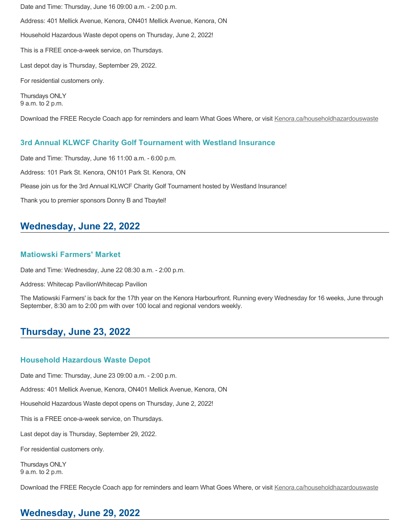Date and Time: Thursday, June 16 09:00 a.m. - 2:00 p.m. Address: 401 Mellick Avenue, Kenora, ON401 Mellick Avenue, Kenora, ON Household Hazardous Waste depot opens on Thursday, June 2, 2022! This is a FREE once-a-week service, on Thursdays. Last depot day is Thursday, September 29, 2022. For residential customers only. Thursdays ONLY 9 a.m. to 2 p.m.

Download the FREE Recycle Coach app for reminders and learn What Goes Where, or visit [Kenora.ca/householdhazardouswaste](https://www.kenora.ca/en/living-here/household-hazardous-waste.aspx)

### **3rd Annual KLWCF Charity Golf Tournament with Westland Insurance**

Date and Time: Thursday, June 16 11:00 a.m. - 6:00 p.m.

Address: 101 Park St. Kenora, ON101 Park St. Kenora, ON

Please join us for the 3rd Annual KLWCF Charity Golf Tournament hosted by Westland Insurance!

Thank you to premier sponsors Donny B and Tbaytel!

# **Wednesday, June 22, 2022**

### **Matiowski Farmers' Market**

Date and Time: Wednesday, June 22 08:30 a.m. - 2:00 p.m.

Address: Whitecap PavilionWhitecap Pavilion

The Matiowski Farmers' is back for the 17th year on the Kenora Harbourfront. Running every Wednesday for 16 weeks, June through September, 8:30 am to 2:00 pm with over 100 local and regional vendors weekly.

# **Thursday, June 23, 2022**

### **Household Hazardous Waste Depot**

Date and Time: Thursday, June 23 09:00 a.m. - 2:00 p.m.

Address: 401 Mellick Avenue, Kenora, ON401 Mellick Avenue, Kenora, ON

Household Hazardous Waste depot opens on Thursday, June 2, 2022!

This is a FREE once-a-week service, on Thursdays.

Last depot day is Thursday, September 29, 2022.

For residential customers only.

Thursdays ONLY 9 a.m. to 2 p.m.

Download the FREE Recycle Coach app for reminders and learn What Goes Where, or visit [Kenora.ca/householdhazardouswaste](https://www.kenora.ca/en/living-here/household-hazardous-waste.aspx)

# **Wednesday, June 29, 2022**